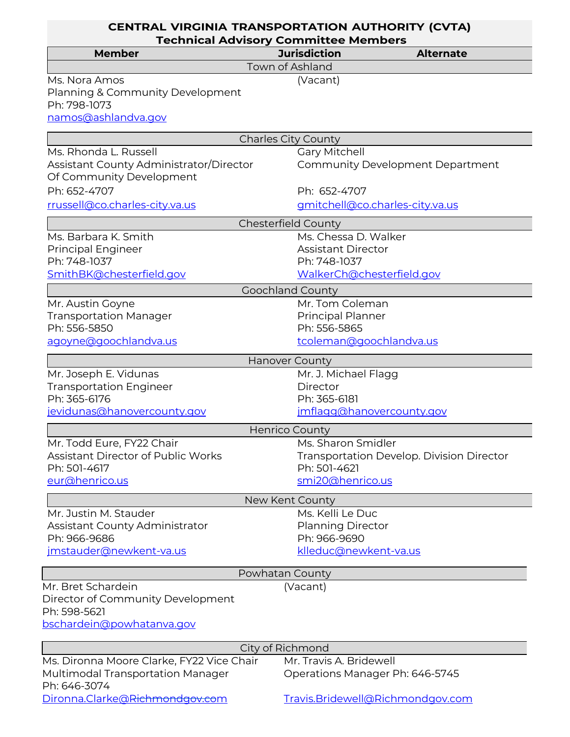| <b>CENTRAL VIRGINIA TRANSPORTATION AUTHORITY (CVTA)</b><br><b>Technical Advisory Committee Members</b> |                                 |                                           |  |  |
|--------------------------------------------------------------------------------------------------------|---------------------------------|-------------------------------------------|--|--|
| <b>Member</b>                                                                                          | <b>Jurisdiction</b>             | <b>Alternate</b>                          |  |  |
|                                                                                                        | <b>Town of Ashland</b>          |                                           |  |  |
| Ms. Nora Amos<br>Planning & Community Development<br>Ph: 798-1073                                      | (Vacant)                        |                                           |  |  |
| namos@ashlandva.gov                                                                                    |                                 |                                           |  |  |
| <b>Charles City County</b>                                                                             |                                 |                                           |  |  |
| Ms. Rhonda L. Russell                                                                                  | <b>Gary Mitchell</b>            |                                           |  |  |
| Assistant County Administrator/Director<br>Of Community Development                                    |                                 | <b>Community Development Department</b>   |  |  |
| Ph: 652-4707                                                                                           | Ph: 652-4707                    |                                           |  |  |
| rrussell@co.charles-city.va.us                                                                         |                                 | gmitchell@co.charles-city.va.us           |  |  |
| <b>Chesterfield County</b>                                                                             |                                 |                                           |  |  |
| Ms. Barbara K. Smith                                                                                   | Ms. Chessa D. Walker            |                                           |  |  |
| <b>Principal Engineer</b>                                                                              | <b>Assistant Director</b>       |                                           |  |  |
| Ph: 748-1037                                                                                           | Ph: 748-1037                    |                                           |  |  |
| SmithBK@chesterfield.gov                                                                               | WalkerCh@chesterfield.gov       |                                           |  |  |
| <b>Goochland County</b>                                                                                |                                 |                                           |  |  |
| Mr. Austin Goyne                                                                                       | Mr. Tom Coleman                 |                                           |  |  |
| <b>Transportation Manager</b>                                                                          | <b>Principal Planner</b>        |                                           |  |  |
| Ph: 556-5850                                                                                           | Ph: 556-5865                    |                                           |  |  |
| agoyne@goochlandva.us                                                                                  | tcoleman@goochlandva.us         |                                           |  |  |
| <b>Hanover County</b>                                                                                  |                                 |                                           |  |  |
| Mr. Joseph E. Vidunas                                                                                  | Mr. J. Michael Flagg            |                                           |  |  |
| <b>Transportation Engineer</b>                                                                         | Director                        |                                           |  |  |
| Ph: 365-6176                                                                                           | Ph: 365-6181                    |                                           |  |  |
| jevidunas@hanovercounty.gov                                                                            | jmflagg@hanovercounty.gov       |                                           |  |  |
| <b>Henrico County</b>                                                                                  |                                 |                                           |  |  |
| Mr. Todd Eure, FY22 Chair                                                                              | Ms. Sharon Smidler              |                                           |  |  |
| Assistant Director of Public Works                                                                     |                                 | Transportation Develop. Division Director |  |  |
| Ph: 501-4617                                                                                           | Ph: 501-4621                    |                                           |  |  |
| eur@henrico.us                                                                                         | smi20@henrico.us                |                                           |  |  |
|                                                                                                        | New Kent County                 |                                           |  |  |
| Mr. Justin M. Stauder                                                                                  | Ms. Kelli Le Duc                |                                           |  |  |
| Assistant County Administrator                                                                         | <b>Planning Director</b>        |                                           |  |  |
| Ph: 966-9686                                                                                           | Ph: 966-9690                    |                                           |  |  |
| jmstauder@newkent-va.us                                                                                | klleduc@newkent-va.us           |                                           |  |  |
| Powhatan County                                                                                        |                                 |                                           |  |  |
| Mr. Bret Schardein                                                                                     | (Vacant)                        |                                           |  |  |
| Director of Community Development<br>Ph: 598-5621                                                      |                                 |                                           |  |  |
| bschardein@powhatanva.gov                                                                              |                                 |                                           |  |  |
| City of Richmond                                                                                       |                                 |                                           |  |  |
| Ms. Dironna Moore Clarke, FY22 Vice Chair                                                              | Mr. Travis A. Bridewell         |                                           |  |  |
| Multimodal Transportation Manager                                                                      | Operations Manager Ph: 646-5745 |                                           |  |  |
| Ph: 646-3074                                                                                           |                                 |                                           |  |  |
| Dironna.Clarke@Richmondgov.com                                                                         |                                 | Travis.Bridewell@Richmondgov.com          |  |  |